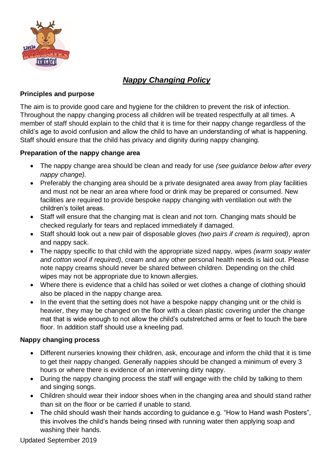

# *Nappy Changing Policy*

#### **Principles and purpose**

The aim is to provide good care and hygiene for the children to prevent the risk of infection. Throughout the nappy changing process all children will be treated respectfully at all times. A member of staff should explain to the child that it is time for their nappy change regardless of the child's age to avoid confusion and allow the child to have an understanding of what is happening. Staff should ensure that the child has privacy and dignity during nappy changing.

### **Preparation of the nappy change area**

- The nappy change area should be clean and ready for use *(see guidance below after every nappy change).*
- Preferably the changing area should be a private designated area away from play facilities and must not be near an area where food or drink may be prepared or consumed. New facilities are required to provide bespoke nappy changing with ventilation out with the children's toilet areas.
- Staff will ensure that the changing mat is clean and not torn. Changing mats should be checked regularly for tears and replaced immediately if damaged.
- Staff should look out a new pair of disposable gloves *(two pairs if cream is required)*, apron and nappy sack.
- The nappy specific to that child with the appropriate sized nappy, wipes *(warm soapy water and cotton wool if required)*, cream and any other personal health needs is laid out. Please note nappy creams should never be shared between children. Depending on the child wipes may not be appropriate due to known allergies.
- Where there is evidence that a child has soiled or wet clothes a change of clothing should also be placed in the nappy change area.
- In the event that the setting does not have a bespoke nappy changing unit or the child is heavier, they may be changed on the floor with a clean plastic covering under the change mat that is wide enough to not allow the child's outstretched arms or feet to touch the bare floor. In addition staff should use a kneeling pad.

#### **Nappy changing process**

- Different nurseries knowing their children, ask, encourage and inform the child that it is time to get their nappy changed. Generally nappies should be changed a minimum of every 3 hours or where there is evidence of an intervening dirty nappy.
- During the nappy changing process the staff will engage with the child by talking to them and singing songs.
- Children should wear their indoor shoes when in the changing area and should stand rather than sit on the floor or be carried if unable to stand.
- The child should wash their hands according to guidance e.g. "How to Hand wash Posters", this involves the child's hands being rinsed with running water then applying soap and washing their hands.

Updated September 2019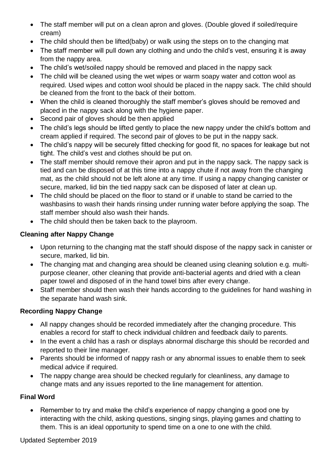- The staff member will put on a clean apron and gloves. (Double gloved if soiled/require cream)
- The child should then be lifted(baby) or walk using the steps on to the changing mat
- The staff member will pull down any clothing and undo the child's vest, ensuring it is away from the nappy area.
- The child's wet/soiled nappy should be removed and placed in the nappy sack
- The child will be cleaned using the wet wipes or warm soapy water and cotton wool as required. Used wipes and cotton wool should be placed in the nappy sack. The child should be cleaned from the front to the back of their bottom.
- When the child is cleaned thoroughly the staff member's gloves should be removed and placed in the nappy sack along with the hygiene paper.
- Second pair of gloves should be then applied
- The child's legs should be lifted gently to place the new nappy under the child's bottom and cream applied if required. The second pair of gloves to be put in the nappy sack.
- The child's nappy will be securely fitted checking for good fit, no spaces for leakage but not tight. The child's vest and clothes should be put on.
- The staff member should remove their apron and put in the nappy sack. The nappy sack is tied and can be disposed of at this time into a nappy chute if not away from the changing mat, as the child should not be left alone at any time. If using a nappy changing canister or secure, marked, lid bin the tied nappy sack can be disposed of later at clean up.
- The child should be placed on the floor to stand or if unable to stand be carried to the washbasins to wash their hands rinsing under running water before applying the soap. The staff member should also wash their hands.
- The child should then be taken back to the playroom.

## **Cleaning after Nappy Change**

- Upon returning to the changing mat the staff should dispose of the nappy sack in canister or secure, marked, lid bin.
- The changing mat and changing area should be cleaned using cleaning solution e.g. multipurpose cleaner, other cleaning that provide anti-bacterial agents and dried with a clean paper towel and disposed of in the hand towel bins after every change.
- Staff member should then wash their hands according to the guidelines for hand washing in the separate hand wash sink.

## **Recording Nappy Change**

- All nappy changes should be recorded immediately after the changing procedure. This enables a record for staff to check individual children and feedback daily to parents.
- In the event a child has a rash or displays abnormal discharge this should be recorded and reported to their line manager.
- Parents should be informed of nappy rash or any abnormal issues to enable them to seek medical advice if required.
- The nappy change area should be checked regularly for cleanliness, any damage to change mats and any issues reported to the line management for attention.

## **Final Word**

• Remember to try and make the child's experience of nappy changing a good one by interacting with the child, asking questions, singing sings, playing games and chatting to them. This is an ideal opportunity to spend time on a one to one with the child.

Updated September 2019